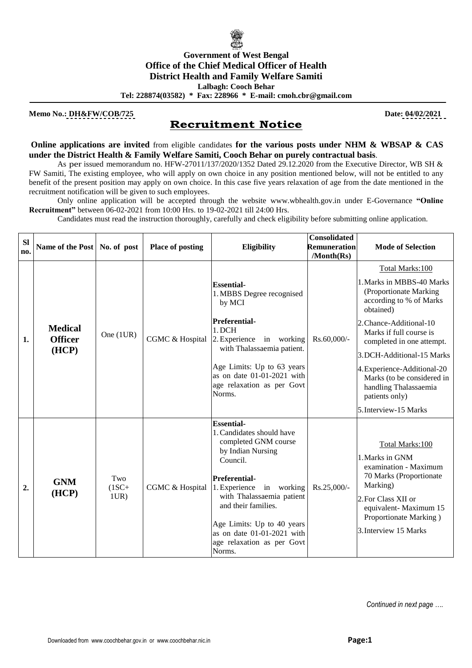

**Memo No.: DH&FW/COB/725** Date: 04/02/2021

## **Recruitment Notice**

**Online applications are invited** from eligible candidates **for the various posts under NHM & WBSAP & CAS under the District Health & Family Welfare Samiti, Cooch Behar on purely contractual basis**.

As per issued memorandum no. HFW-27011/137/2020/1352 Dated 29.12.2020 from the Executive Director, WB SH & FW Samiti, The existing employee, who will apply on own choice in any position mentioned below, will not be entitled to any benefit of the present position may apply on own choice. In this case five years relaxation of age from the date mentioned in the recruitment notification will be given to such employees.

Only online application will be accepted through the website www.wbhealth.gov.in under E-Governance **"Online Recruitment"** between 06-02-2021 from 10:00 Hrs. to 19-02-2021 till 24:00 Hrs.

Candidates must read the instruction thoroughly, carefully and check eligibility before submitting online application.

| <b>SI</b><br>no. | Name of the Post                          | No. of post            | <b>Place of posting</b> | <b>Eligibility</b>                                                                                                                                                                                                                                                                                                  | <b>Consolidated</b><br>Remuneration | <b>Mode of Selection</b>                                                                                                                                                                                                                                                                                                                                        |
|------------------|-------------------------------------------|------------------------|-------------------------|---------------------------------------------------------------------------------------------------------------------------------------------------------------------------------------------------------------------------------------------------------------------------------------------------------------------|-------------------------------------|-----------------------------------------------------------------------------------------------------------------------------------------------------------------------------------------------------------------------------------------------------------------------------------------------------------------------------------------------------------------|
| 1.               | <b>Medical</b><br><b>Officer</b><br>(HCP) | One (1UR)              | CGMC & Hospital         | <b>Essential-</b><br>1. MBBS Degree recognised<br>by MCI<br><b>Preferential-</b><br>1. DCH<br>2. Experience in working<br>with Thalassaemia patient.<br>Age Limits: Up to 63 years<br>as on date 01-01-2021 with<br>age relaxation as per Govt<br>Norms.                                                            | /Month(Rs)<br>Rs.60,000/-           | Total Marks:100<br>1. Marks in MBBS-40 Marks<br>(Proportionate Marking<br>according to % of Marks<br>obtained)<br>2. Chance-Additional-10<br>Marks if full course is<br>completed in one attempt.<br>3.DCH-Additional-15 Marks<br>4. Experience-Additional-20<br>Marks (to be considered in<br>handling Thalassaemia<br>patients only)<br>5. Interview-15 Marks |
| 2.               | <b>GNM</b><br>(HCP)                       | Two<br>$(1SC+$<br>1UR) | CGMC & Hospital         | <b>Essential-</b><br>1. Candidates should have<br>completed GNM course<br>by Indian Nursing<br>Council.<br><b>Preferential-</b><br>1. Experience in working<br>with Thalassaemia patient<br>and their families.<br>Age Limits: Up to 40 years<br>as on date 01-01-2021 with<br>age relaxation as per Govt<br>Norms. | Rs.25,000/-                         | Total Marks:100<br>1. Marks in GNM<br>examination - Maximum<br>70 Marks (Proportionate<br>Marking)<br>2. For Class XII or<br>equivalent-Maximum 15<br>Proportionate Marking)<br>3. Interview 15 Marks                                                                                                                                                           |

*Continued in next page ….*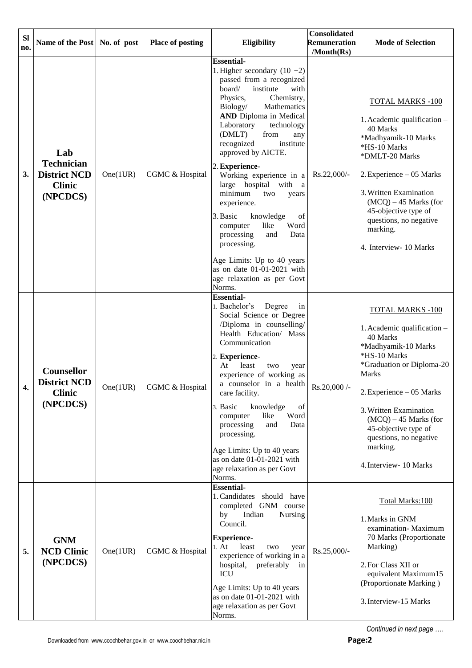| <b>SI</b><br>no. | Name of the Post   No. of post                                               |          | <b>Place of posting</b> | Eligibility                                                                                                                                                                                                                                                                                                                                                                                                                                                                                                                                                                                                                           | <b>Consolidated</b><br>Remuneration<br>/Month(Rs) | <b>Mode of Selection</b>                                                                                                                                                                                                                                                                                                        |
|------------------|------------------------------------------------------------------------------|----------|-------------------------|---------------------------------------------------------------------------------------------------------------------------------------------------------------------------------------------------------------------------------------------------------------------------------------------------------------------------------------------------------------------------------------------------------------------------------------------------------------------------------------------------------------------------------------------------------------------------------------------------------------------------------------|---------------------------------------------------|---------------------------------------------------------------------------------------------------------------------------------------------------------------------------------------------------------------------------------------------------------------------------------------------------------------------------------|
| 3.               | Lab<br><b>Technician</b><br><b>District NCD</b><br><b>Clinic</b><br>(NPCDCS) | One(1UR) | CGMC & Hospital         | <b>Essential-</b><br>1. Higher secondary $(10 + 2)$<br>passed from a recognized<br>board/<br>institute<br>with<br>Physics,<br>Chemistry,<br>Biology/<br>Mathematics<br><b>AND</b> Diploma in Medical<br>Laboratory<br>technology<br>from<br>(DMLT)<br>any<br>institute<br>recognized<br>approved by AICTE.<br>2. Experience-<br>Working experience in a<br>large hospital with a<br>minimum<br>two<br>years<br>experience.<br>3. Basic<br>knowledge<br>of<br>like<br>Word<br>computer<br>processing<br>and<br>Data<br>processing.<br>Age Limits: Up to 40 years<br>as on date 01-01-2021 with<br>age relaxation as per Govt<br>Norms. | Rs.22,000/-                                       | <b>TOTAL MARKS -100</b><br>1. Academic qualification -<br>40 Marks<br>*Madhyamik-10 Marks<br>*HS-10 Marks<br>*DMLT-20 Marks<br>2. Experience - 05 Marks<br>3. Written Examination<br>$(MCQ) - 45$ Marks (for<br>45-objective type of<br>questions, no negative<br>marking.<br>4. Interview- 10 Marks                            |
| 4.               | Counsellor<br><b>District NCD</b><br><b>Clinic</b><br>(NPCDCS)               | One(1UR) | CGMC & Hospital         | <b>Essential-</b><br>1. Bachelor's<br>Degree<br>in<br>Social Science or Degree<br>/Diploma in counselling/<br>Health Education/ Mass<br>Communication<br>2. Experience-<br>At<br>least<br>two<br>year<br>experience of working as<br>a counselor in a health<br>care facility.<br>3. Basic<br>knowledge<br>of<br>like<br>Word<br>computer<br>processing<br>and<br>Data<br>processing.<br>Age Limits: Up to 40 years<br>as on date 01-01-2021 with<br>age relaxation as per Govt<br>Norms.                                                                                                                                             | Rs.20,000 /-                                      | <b>TOTAL MARKS -100</b><br>1. Academic qualification -<br>40 Marks<br>*Madhyamik-10 Marks<br>*HS-10 Marks<br>*Graduation or Diploma-20<br><b>Marks</b><br>2. Experience - 05 Marks<br>3. Written Examination<br>$(MCQ) - 45$ Marks (for<br>45-objective type of<br>questions, no negative<br>marking.<br>4. Interview- 10 Marks |
| 5.               | <b>GNM</b><br><b>NCD Clinic</b><br>(NPCDCS)                                  | One(1UR) | CGMC & Hospital         | <b>Essential-</b><br>1. Candidates should have<br>completed GNM course<br>Indian<br>Nursing<br>by<br>Council.<br><b>Experience-</b><br>1. At<br>least<br>two<br>year<br>experience of working in a<br>hospital,<br>preferably<br>in<br><b>ICU</b><br>Age Limits: Up to 40 years<br>as on date 01-01-2021 with<br>age relaxation as per Govt<br>Norms.                                                                                                                                                                                                                                                                                 | Rs.25,000/-                                       | Total Marks:100<br>1. Marks in GNM<br>examination-Maximum<br>70 Marks (Proportionate<br>Marking)<br>2. For Class XII or<br>equivalent Maximum15<br>(Proportionate Marking)<br>3. Interview-15 Marks                                                                                                                             |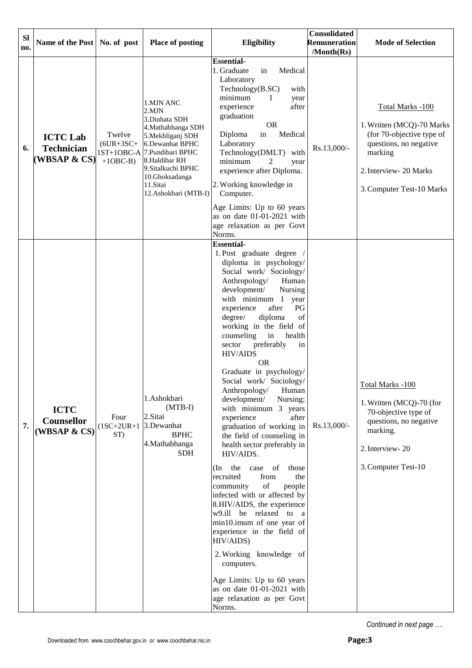| <b>SI</b><br>no. | Name of the Post   No. of post                       |                                                      | <b>Place of posting</b>                                                                                                                                                                                              | Eligibility                                                                                                                                                                                                                                                                                                                                                                                                                                                                                                                                                                                                                                                                                                                                                                                                                                                                                                                                                                                                                                  | Consolidated<br>Remuneration<br>/Month(Rs) | <b>Mode of Selection</b>                                                                                                                                               |
|------------------|------------------------------------------------------|------------------------------------------------------|----------------------------------------------------------------------------------------------------------------------------------------------------------------------------------------------------------------------|----------------------------------------------------------------------------------------------------------------------------------------------------------------------------------------------------------------------------------------------------------------------------------------------------------------------------------------------------------------------------------------------------------------------------------------------------------------------------------------------------------------------------------------------------------------------------------------------------------------------------------------------------------------------------------------------------------------------------------------------------------------------------------------------------------------------------------------------------------------------------------------------------------------------------------------------------------------------------------------------------------------------------------------------|--------------------------------------------|------------------------------------------------------------------------------------------------------------------------------------------------------------------------|
| 6.               | <b>ICTC Lab</b><br><b>Technician</b><br>(WBSAP & CS) | Twelve<br>$(6UR+3SC+$<br>$1ST+1OBC-A$<br>$+1$ OBC-B) | 1.MJN ANC<br>2.MJN<br>3.Dinhata SDH<br>4. Mathabhanga SDH<br>5. Mekhliganj SDH<br>6.Dewanhat BPHC<br>7. Pundibari BPHC<br>8.Haldibar RH<br>9. Sitalkuchi BPHC<br>10.Ghoksadanga<br>11.Sitai<br>12. Ashokbari (MTB-I) | <b>Essential-</b><br>Medical<br>1. Graduate<br>in<br>Laboratory<br>Technology(B.SC)<br>with<br>minimum<br>1<br>year<br>experience<br>after<br>graduation<br><b>OR</b><br>Medical<br>Diploma<br>in<br>Laboratory<br>Technology(DMLT) with<br>minimum<br>2<br>year<br>experience after Diploma.<br>2. Working knowledge in<br>Computer.<br>Age Limits: Up to 60 years<br>as on date 01-01-2021 with<br>age relaxation as per Govt<br>Norms.                                                                                                                                                                                                                                                                                                                                                                                                                                                                                                                                                                                                    | Rs.13,000/-                                | Total Marks -100<br>1. Written (MCQ)-70 Marks<br>(for 70-objective type of<br>questions, no negative<br>marking<br>2. Interview- 20 Marks<br>3. Computer Test-10 Marks |
| 7.               | <b>ICTC</b><br>Counsellor<br>(WBSAP & CS)            | Four<br>$(1SC+2UR+1$<br>ST)                          | 1.Ashokbari<br>$(MTB-I)$<br>2.Sitai<br>3.Dewanhat<br><b>BPHC</b><br>4. Mathabhanga<br><b>SDH</b>                                                                                                                     | <b>Essential-</b><br>1. Post graduate degree<br>diploma in psychology/<br>Social work/ Sociology/<br>Anthropology/<br>Human<br>development/<br>Nursing<br>with minimum 1<br>year<br>experience<br>after<br>PG<br>diploma<br>of<br>degree/<br>working in the field of<br>counseling<br>health<br>in<br>preferably<br>sector<br>in<br><b>HIV/AIDS</b><br><b>OR</b><br>Graduate in psychology/<br>Social work/ Sociology/<br>Anthropology/<br>Human<br>development/<br>Nursing;<br>with minimum 3 years<br>experience<br>after<br>graduation of working in<br>the field of counseling in<br>health sector preferably in<br>HIV/AIDS.<br>the<br>of<br>those<br>(In<br>case<br>recruited<br>from<br>the<br>of<br>community<br>people<br>infected with or affected by<br>8.HIV/AIDS, the experience<br>w9.ill be relaxed to a<br>min10.imum of one year of<br>experience in the field of<br>HIV/AIDS)<br>2. Working knowledge of<br>computers.<br>Age Limits: Up to 60 years<br>as on date 01-01-2021 with<br>age relaxation as per Govt<br>Norms. | Rs.13,000/-                                | Total Marks -100<br>1. Written (MCQ)-70 (for<br>70-objective type of<br>questions, no negative<br>marking.<br>2. Interview-20<br>3. Computer Test-10                   |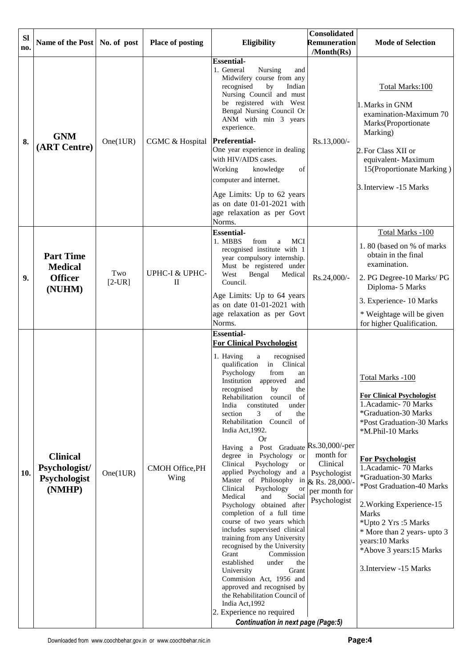| <b>SI</b><br>no. | Name of the Post   No. of post                                 |                 | <b>Place of posting</b>        | <b>Eligibility</b>                                                                                                                                                                                                                                                                                                                                                                                                                                                                                                                                                                                                                                                                                                                                                                                                                                                                                                                                                                                                                                                     | <b>Consolidated</b><br><b>Remuneration</b><br>/Month(Rs)                                 | <b>Mode of Selection</b>                                                                                                                                                                                                                                                                                                                                                                                                          |
|------------------|----------------------------------------------------------------|-----------------|--------------------------------|------------------------------------------------------------------------------------------------------------------------------------------------------------------------------------------------------------------------------------------------------------------------------------------------------------------------------------------------------------------------------------------------------------------------------------------------------------------------------------------------------------------------------------------------------------------------------------------------------------------------------------------------------------------------------------------------------------------------------------------------------------------------------------------------------------------------------------------------------------------------------------------------------------------------------------------------------------------------------------------------------------------------------------------------------------------------|------------------------------------------------------------------------------------------|-----------------------------------------------------------------------------------------------------------------------------------------------------------------------------------------------------------------------------------------------------------------------------------------------------------------------------------------------------------------------------------------------------------------------------------|
| 8.               | <b>GNM</b><br>(ART Centre)                                     | One(1UR)        | CGMC & Hospital                | <b>Essential-</b><br>1. General<br>Nursing<br>and<br>Midwifery course from any<br>recognised<br>by<br>Indian<br>Nursing Council and must<br>be registered with West<br>Bengal Nursing Council Or<br>ANM with min 3 years<br>experience.<br>Preferential-<br>One year experience in dealing<br>with HIV/AIDS cases.<br>Working<br>of<br>knowledge<br>computer and internet.<br>Age Limits: Up to 62 years<br>as on date 01-01-2021 with<br>age relaxation as per Govt<br>Norms.                                                                                                                                                                                                                                                                                                                                                                                                                                                                                                                                                                                         | Rs.13,000/-                                                                              | Total Marks:100<br>1. Marks in GNM<br>examination-Maximum 70<br>Marks(Proportionate<br>Marking)<br>2. For Class XII or<br>equivalent-Maximum<br>15(Proportionate Marking)<br>3. Interview -15 Marks                                                                                                                                                                                                                               |
| 9.               | <b>Part Time</b><br><b>Medical</b><br><b>Officer</b><br>(NUHM) | Two<br>$[2-UR]$ | UPHC-I & UPHC-<br>$\mathbf{I}$ | <b>Essential-</b><br>1. MBBS<br>from<br><b>MCI</b><br>a<br>recognised institute with 1<br>year compulsory internship.<br>Must be registered under<br>West<br>Bengal<br>Medical<br>Council.<br>Age Limits: Up to 64 years<br>as on date 01-01-2021 with<br>age relaxation as per Govt<br>Norms.                                                                                                                                                                                                                                                                                                                                                                                                                                                                                                                                                                                                                                                                                                                                                                         | Rs.24,000/-                                                                              | Total Marks -100<br>1.80 (based on % of marks<br>obtain in the final<br>examination.<br>2. PG Degree-10 Marks/ PG<br>Diploma- 5 Marks<br>3. Experience- 10 Marks<br>* Weightage will be given<br>for higher Qualification.                                                                                                                                                                                                        |
| 10.              | <b>Clinical</b><br>Psychologist/<br>Psychologist<br>(NMHP)     | One(1UR)        | CMOH Office, PH<br>Wing        | <b>Essential-</b><br><b>For Clinical Psychologist</b><br>recognised<br>1. Having<br>$\rm{a}$<br>qualification<br>Clinical<br>in<br>Psychology<br>from<br>an<br>Institution approved<br>and<br>recognised<br>by<br>the<br>Rehabilitation<br>of<br>council<br>constituted<br>under<br>India<br>3<br>of<br>section<br>the<br>Rehabilitation Council of<br>India Act, 1992.<br><b>Or</b><br>Having a Post Graduate Rs.30,000/-per<br>degree in Psychology or<br>Psychology<br>Clinical<br>or<br>applied Psychology and a<br>Master of Philosophy in<br>Clinical<br>Psychology<br>or<br>Medical<br>and<br>Social<br>Psychology obtained after<br>completion of a full time<br>course of two years which<br>includes supervised clinical<br>training from any University<br>recognised by the University<br>Grant<br>Commission<br>established<br>under<br>the<br>University<br>Grant<br>Commision Act, 1956 and<br>approved and recognised by<br>the Rehabilitation Council of<br>India Act, 1992<br>2. Experience no required<br><b>Continuation in next page (Page:5)</b> | month for<br>Clinical<br>Psychologist<br>& Rs. 28,000/-<br>per month for<br>Psychologist | Total Marks -100<br><b>For Clinical Psychologist</b><br>1. Acadamic - 70 Marks<br>*Graduation-30 Marks<br>*Post Graduation-30 Marks<br>*M.Phil-10 Marks<br><b>For Psychologist</b><br>1.Acadamic-70 Marks<br>*Graduation-30 Marks<br>*Post Graduation-40 Marks<br>2. Working Experience-15<br>Marks<br>*Upto 2 Yrs :5 Marks<br>* More than 2 years- upto 3<br>years:10 Marks<br>*Above 3 years:15 Marks<br>3. Interview -15 Marks |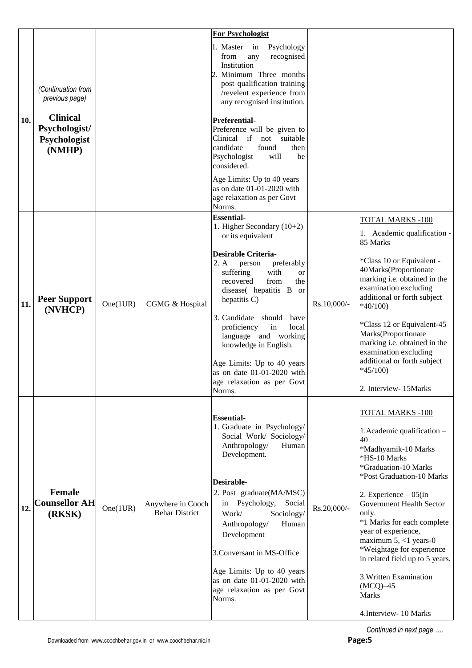| (Continuation from<br>previous page)                       |          |                                            | 1. Master in<br>Psychology<br>recognised<br>from<br>any<br>Institution<br>post qualification training<br>/revelent experience from<br>any recognised institution.                                                                                                                                                                                                                                      |                         |                                                                                                                                                                                                                                                                                                                                                                                                                                                             |
|------------------------------------------------------------|----------|--------------------------------------------|--------------------------------------------------------------------------------------------------------------------------------------------------------------------------------------------------------------------------------------------------------------------------------------------------------------------------------------------------------------------------------------------------------|-------------------------|-------------------------------------------------------------------------------------------------------------------------------------------------------------------------------------------------------------------------------------------------------------------------------------------------------------------------------------------------------------------------------------------------------------------------------------------------------------|
| <b>Clinical</b><br>Psychologist/<br>Psychologist<br>(NMHP) |          |                                            | <b>Preferential-</b><br>Preference will be given to<br>Clinical if<br>not suitable<br>candidate<br>found<br>then<br>Psychologist<br>will<br>be<br>considered.                                                                                                                                                                                                                                          |                         |                                                                                                                                                                                                                                                                                                                                                                                                                                                             |
|                                                            |          |                                            | Age Limits: Up to 40 years<br>as on date 01-01-2020 with<br>age relaxation as per Govt<br>Norms.                                                                                                                                                                                                                                                                                                       |                         |                                                                                                                                                                                                                                                                                                                                                                                                                                                             |
|                                                            |          |                                            | <b>Essential-</b><br>1. Higher Secondary (10+2)<br>or its equivalent                                                                                                                                                                                                                                                                                                                                   |                         | <b>TOTAL MARKS -100</b><br>1. Academic qualification -                                                                                                                                                                                                                                                                                                                                                                                                      |
| <b>Peer Support</b><br>(NVHCP)                             | One(1UR) | CGMG & Hospital                            | <b>Desirable Criteria-</b><br>2. A<br>person<br>preferably<br>with<br>suffering<br><sub>or</sub><br>from<br>recovered<br>the<br>disease( hepatitis B<br>or<br>hepatitis C)<br>3. Candidate should<br>have<br>proficiency<br>in<br>local<br>language and working<br>knowledge in English.<br>Age Limits: Up to 40 years<br>as on date 01-01-2020 with<br>age relaxation as per Govt<br>Norms.           | Rs.10,000/-             | 85 Marks<br>*Class 10 or Equivalent -<br>40Marks(Proportionate<br>marking i.e. obtained in the<br>examination excluding<br>additional or forth subject<br>$*40/100$<br>*Class 12 or Equivalent-45<br>Marks(Proportionate<br>marking i.e. obtained in the<br>examination excluding<br>additional or forth subject<br>$*45/100$<br>2. Interview- 15Marks                                                                                                      |
| <b>Female</b><br><b>Counsellor AH</b><br>(RKSK)            | One(1UR) | Anywhere in Cooch<br><b>Behar District</b> | <b>Essential-</b><br>1. Graduate in Psychology/<br>Social Work/ Sociology/<br>Anthropology/<br>Human<br>Development.<br><b>Desirable-</b><br>2. Post graduate(MA/MSC)<br>Psychology,<br>Social<br>in<br>Work/<br>Sociology/<br>Anthropology/<br>Human<br>Development<br>3. Conversant in MS-Office<br>Age Limits: Up to 40 years<br>as on date 01-01-2020 with<br>age relaxation as per Govt<br>Norms. | Rs.20,000/-             | <b>TOTAL MARKS -100</b><br>1. Academic qualification -<br>40<br>*Madhyamik-10 Marks<br>*HS-10 Marks<br>*Graduation-10 Marks<br>*Post Graduation-10 Marks<br>2. Experience $-05$ (in<br>Government Health Sector<br>only.<br>*1 Marks for each complete<br>year of experience,<br>maximum $5, <1$ years-0<br>*Weightage for experience<br>in related field up to 5 years.<br>3. Written Examination<br>$(MCQ)$ -45<br><b>Marks</b><br>4. Interview- 10 Marks |
|                                                            |          |                                            |                                                                                                                                                                                                                                                                                                                                                                                                        | 2. Minimum Three months |                                                                                                                                                                                                                                                                                                                                                                                                                                                             |